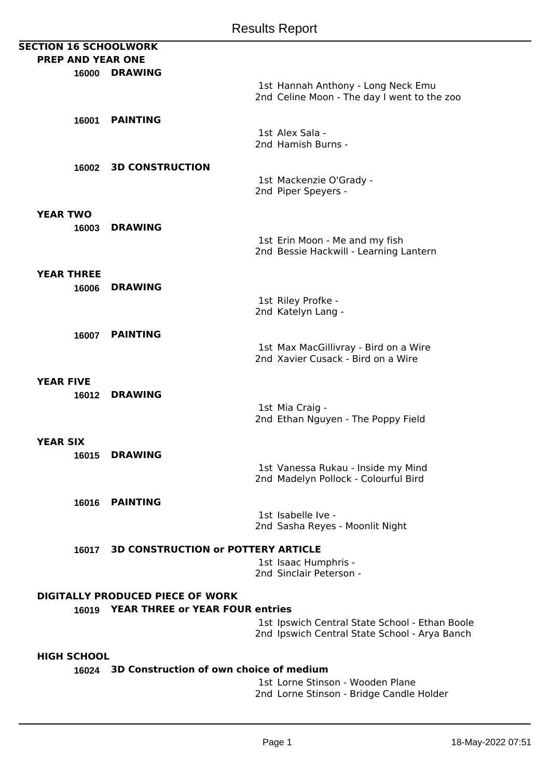| <b>SECTION 16 SCHOOLWORK</b>                  |                                           |                                                                                   |
|-----------------------------------------------|-------------------------------------------|-----------------------------------------------------------------------------------|
| <b>PREP AND YEAR ONE</b>                      |                                           |                                                                                   |
|                                               | 16000 DRAWING                             |                                                                                   |
|                                               |                                           | 1st Hannah Anthony - Long Neck Emu<br>2nd Celine Moon - The day I went to the zoo |
|                                               |                                           |                                                                                   |
| 16001                                         | <b>PAINTING</b>                           | 1st Alex Sala -                                                                   |
|                                               |                                           | 2nd Hamish Burns -                                                                |
|                                               |                                           |                                                                                   |
|                                               | 16002 3D CONSTRUCTION                     |                                                                                   |
|                                               |                                           | 1st Mackenzie O'Grady -<br>2nd Piper Speyers -                                    |
|                                               |                                           |                                                                                   |
| <b>YEAR TWO</b>                               |                                           |                                                                                   |
| 16003                                         | <b>DRAWING</b>                            |                                                                                   |
|                                               |                                           | 1st Erin Moon - Me and my fish<br>2nd Bessie Hackwill - Learning Lantern          |
|                                               |                                           |                                                                                   |
| <b>YEAR THREE</b>                             |                                           |                                                                                   |
| 16006                                         | <b>DRAWING</b>                            |                                                                                   |
|                                               |                                           | 1st Riley Profke -                                                                |
|                                               |                                           | 2nd Katelyn Lang -                                                                |
|                                               |                                           |                                                                                   |
| 16007                                         | <b>PAINTING</b>                           | 1st Max MacGillivray - Bird on a Wire                                             |
|                                               |                                           | 2nd Xavier Cusack - Bird on a Wire                                                |
|                                               |                                           |                                                                                   |
| <b>YEAR FIVE</b>                              |                                           |                                                                                   |
| 16012                                         | <b>DRAWING</b>                            |                                                                                   |
|                                               |                                           | 1st Mia Craig -                                                                   |
|                                               |                                           | 2nd Ethan Nguyen - The Poppy Field                                                |
| <b>YEAR SIX</b>                               |                                           |                                                                                   |
|                                               | 16015 DRAWING                             |                                                                                   |
|                                               |                                           | 1st Vanessa Rukau - Inside my Mind                                                |
|                                               |                                           | 2nd Madelyn Pollock - Colourful Bird                                              |
|                                               |                                           |                                                                                   |
|                                               | 16016 PAINTING                            |                                                                                   |
|                                               |                                           | 1st Isabelle Ive -                                                                |
|                                               |                                           | 2nd Sasha Reyes - Moonlit Night                                                   |
| 16017                                         | <b>3D CONSTRUCTION OF POTTERY ARTICLE</b> |                                                                                   |
|                                               |                                           | 1st Isaac Humphris -                                                              |
|                                               |                                           | 2nd Sinclair Peterson -                                                           |
|                                               |                                           |                                                                                   |
| <b>DIGITALLY PRODUCED PIECE OF WORK</b>       |                                           |                                                                                   |
|                                               | 16019 YEAR THREE or YEAR FOUR entries     |                                                                                   |
|                                               |                                           | 1st Ipswich Central State School - Ethan Boole                                    |
|                                               |                                           | 2nd Ipswich Central State School - Arya Banch                                     |
| <b>HIGH SCHOOL</b>                            |                                           |                                                                                   |
| 16024 3D Construction of own choice of medium |                                           |                                                                                   |
|                                               |                                           | 1st Lorne Stinson - Wooden Plane                                                  |
|                                               |                                           | 2nd Lorne Stinson - Bridge Candle Holder                                          |
|                                               |                                           |                                                                                   |